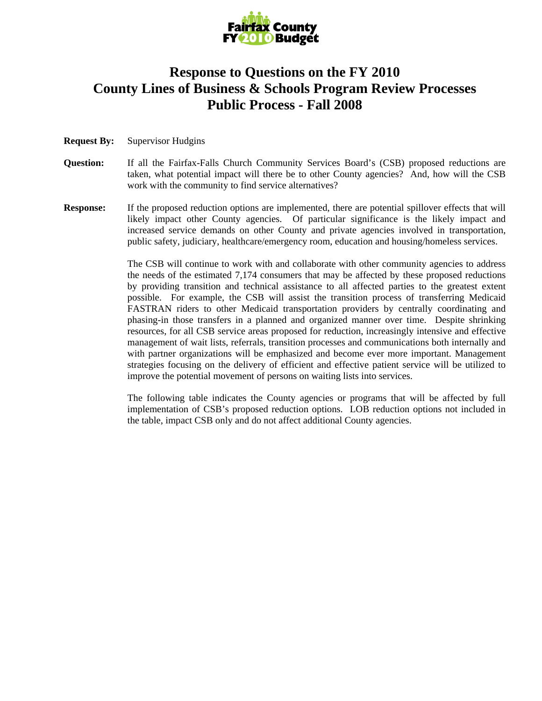

## **Response to Questions on the FY 2010 County Lines of Business & Schools Program Review Processes Public Process - Fall 2008**

## **Request By:** Supervisor Hudgins

- **Question:** If all the Fairfax-Falls Church Community Services Board's (CSB) proposed reductions are taken, what potential impact will there be to other County agencies? And, how will the CSB work with the community to find service alternatives?
- **Response:** If the proposed reduction options are implemented, there are potential spillover effects that will likely impact other County agencies. Of particular significance is the likely impact and increased service demands on other County and private agencies involved in transportation, public safety, judiciary, healthcare/emergency room, education and housing/homeless services.

The CSB will continue to work with and collaborate with other community agencies to address the needs of the estimated 7,174 consumers that may be affected by these proposed reductions by providing transition and technical assistance to all affected parties to the greatest extent possible. For example, the CSB will assist the transition process of transferring Medicaid FASTRAN riders to other Medicaid transportation providers by centrally coordinating and phasing-in those transfers in a planned and organized manner over time. Despite shrinking resources, for all CSB service areas proposed for reduction, increasingly intensive and effective management of wait lists, referrals, transition processes and communications both internally and with partner organizations will be emphasized and become ever more important. Management strategies focusing on the delivery of efficient and effective patient service will be utilized to improve the potential movement of persons on waiting lists into services.

The following table indicates the County agencies or programs that will be affected by full implementation of CSB's proposed reduction options. LOB reduction options not included in the table, impact CSB only and do not affect additional County agencies.